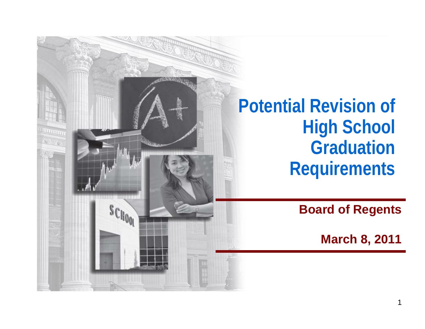**Potential Revision of High School GraduationRequirements**

NG 68

 $s_{\text{Cl}_{100}}$ 

**Board of Regents**

**March 8, 2011**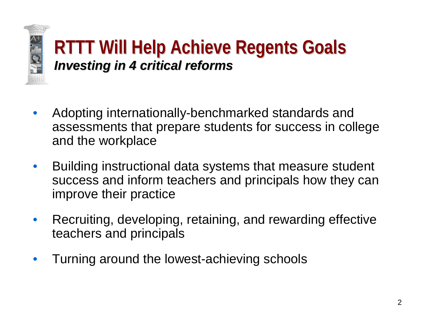

## **RTTT Will Help Achieve Regents Goals RTTT Will Help Achieve Regents Goals** *Investing in 4 critical reforms Investing in 4 critical reforms*

- Adopting internationally-benchmarked standards and assessments that prepare students for success in college and the workplace
- Building instructional data systems that measure student success and inform teachers and principals how they can improve their practice
- Recruiting, developing, retaining, and rewarding effective teachers and principals
- Turning around the lowest-achieving schools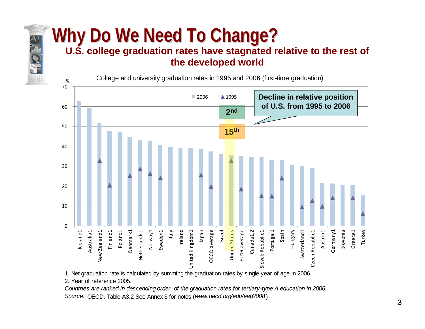#### **U.S. college graduation rates have stagnated relative to the rest of the developed world**

College and university graduation rates in 1995 and 2006 (first-time graduation)



1. Net graduation rate is calculated by summing the graduation rates by single year of age in 2006.

2. Year of reference 2005.

%

*Countries are ranked in descending order of the graduation rates for tertiary-type A education in 2006. Source:* OECD. Table A3.2 See Annex 3 for notes (*www.oecd.org/edu/eag2008* )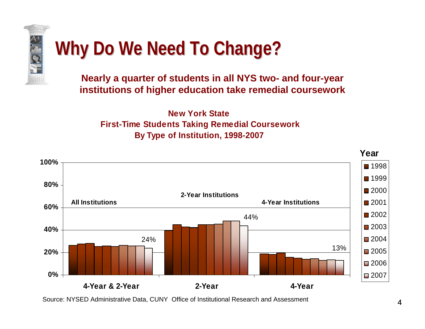

**Nearly a quarter of students in all NYS two- and four-year institutions of higher education take remedial coursework**

**New York State First-Time Students Taking Remedial Coursework By Type of Institution, 1998-2007** 



Source: NYSED Administrative Data, CUNY Office of Institutional Research and Assessment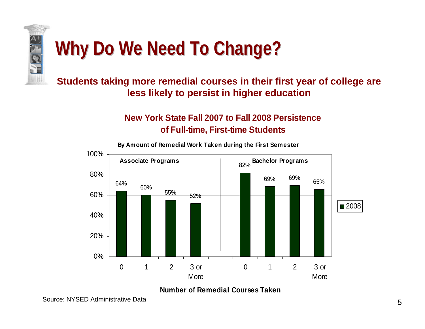

#### **Students taking more remedial courses in their first year of college are less likely to persist in higher education**

#### **New York State Fall 2007 to Fall 2008 Persistence of Full-time, First-time Students**



**By Amount of Remedial Work Taken during the First Semester**

#### **Number of Remedial Courses Taken**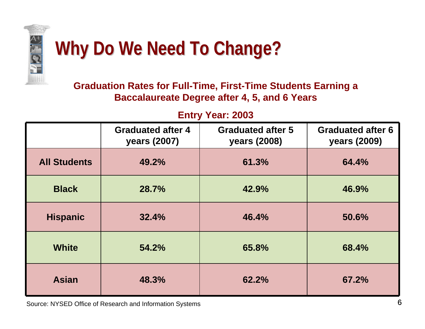

#### **Graduation Rates for Full-Time, First-Time Students Earning a Baccalaureate Degree after 4, 5, and 6 Years**

#### **Entry Year: 2003**

|                     | <b>Graduated after 4</b><br>years (2007) | <b>Graduated after 5</b><br>years (2008) | <b>Graduated after 6</b><br>years (2009) |
|---------------------|------------------------------------------|------------------------------------------|------------------------------------------|
| <b>All Students</b> | 49.2%                                    | 61.3%                                    | 64.4%                                    |
| <b>Black</b>        | 28.7%                                    | 42.9%                                    | 46.9%                                    |
| <b>Hispanic</b>     | 32.4%                                    | 46.4%                                    | 50.6%                                    |
| <b>White</b>        | 54.2%                                    | 65.8%                                    | 68.4%                                    |
| <b>Asian</b>        | 48.3%                                    | 62.2%                                    | 67.2%                                    |

Source: NYSED Office of Research and Information Systems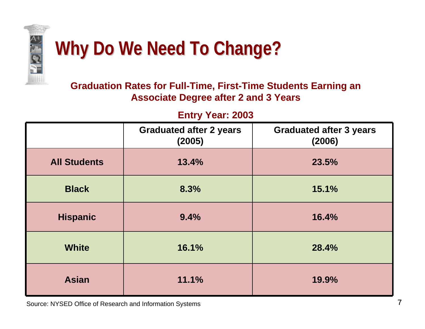

#### **Graduation Rates for Full-Time, First-Time Students Earning an Associate Degree after 2 and 3 Years**

**Entry Year: 2003**

|                     | <b>Graduated after 2 years</b><br>(2005) | <b>Graduated after 3 years</b><br>(2006) |
|---------------------|------------------------------------------|------------------------------------------|
| <b>All Students</b> | 13.4%                                    | 23.5%                                    |
| <b>Black</b>        | 8.3%                                     | 15.1%                                    |
| <b>Hispanic</b>     | 9.4%                                     | 16.4%                                    |
| <b>White</b>        | 16.1%                                    | 28.4%                                    |
| <b>Asian</b>        | 11.1%                                    | 19.9%                                    |

Source: NYSED Office of Research and Information Systems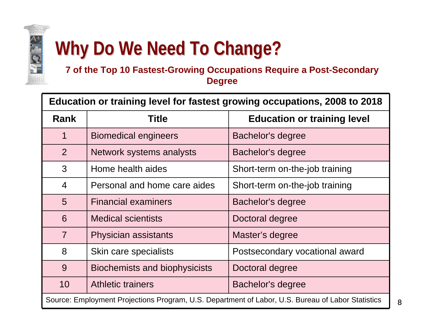

#### **7 of the Top 10 Fastest-Growing Occupations Require a Post-Se condary Degree**

**Education or training level for fastest growing occupations, 2008 to 2018** 

| <b>Rank</b>                                                                                       | Title                                         | <b>Education or training level</b> |  |  |
|---------------------------------------------------------------------------------------------------|-----------------------------------------------|------------------------------------|--|--|
| 1                                                                                                 | <b>Biomedical engineers</b>                   | Bachelor's degree                  |  |  |
| 2                                                                                                 | Network systems analysts                      | Bachelor's degree                  |  |  |
| 3                                                                                                 | Home health aides                             | Short-term on-the-job training     |  |  |
| $\overline{4}$                                                                                    | Personal and home care aides                  | Short-term on-the-job training     |  |  |
| 5                                                                                                 | <b>Financial examiners</b>                    | <b>Bachelor's degree</b>           |  |  |
| 6                                                                                                 | <b>Medical scientists</b>                     | Doctoral degree                    |  |  |
| $\overline{7}$                                                                                    | <b>Physician assistants</b>                   | Master's degree                    |  |  |
| 8                                                                                                 | Skin care specialists                         | Postsecondary vocational award     |  |  |
| 9                                                                                                 | <b>Biochemists and biophysicists</b>          | Doctoral degree                    |  |  |
| 10                                                                                                | <b>Athletic trainers</b><br>Bachelor's degree |                                    |  |  |
| Source: Employment Projections Program, U.S. Department of Labor, U.S. Bureau of Labor Statistics |                                               |                                    |  |  |

8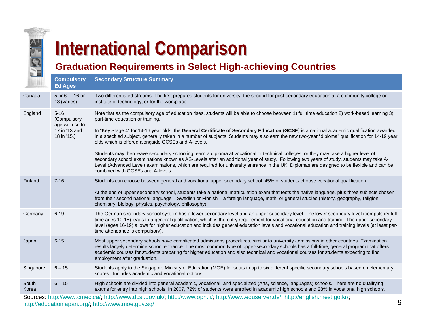

# **International Comparison International Comparison**

#### **Graduation Requirements in Select High-achieving Countries**

| <b>Contract Contract</b> | <b>Compulsory</b><br><b>Ed Ages</b>                                         | <b>Secondary Structure Summary</b>                                                                                                                                                                                                                                                                                                                                                                                                                                                                                                                                                                                                                                                                                                                                                                                                                                                                                                                                                                         |   |
|--------------------------|-----------------------------------------------------------------------------|------------------------------------------------------------------------------------------------------------------------------------------------------------------------------------------------------------------------------------------------------------------------------------------------------------------------------------------------------------------------------------------------------------------------------------------------------------------------------------------------------------------------------------------------------------------------------------------------------------------------------------------------------------------------------------------------------------------------------------------------------------------------------------------------------------------------------------------------------------------------------------------------------------------------------------------------------------------------------------------------------------|---|
| Canada                   | 5 or 6 - 16 or<br>18 (varies)                                               | Two differentiated streams: The first prepares students for university, the second for post-secondary education at a community college or<br>institute of technology, or for the workplace                                                                                                                                                                                                                                                                                                                                                                                                                                                                                                                                                                                                                                                                                                                                                                                                                 |   |
| England                  | $5 - 16$<br>(Compulsory<br>age will rise to<br>17 in '13 and<br>18 in '15.) | Note that as the compulsory age of education rises, students will be able to choose between 1) full time education 2) work-based learning 3)<br>part-time education or training.<br>In "Key Stage 4" for 14-16 year olds, the General Certificate of Secondary Education (GCSE) is a national academic qualification awarded<br>in a specified subject, generally taken in a number of subjects. Students may also earn the new two-year "diploma" qualification for 14-19 year<br>olds which is offered alongside GCSEs and A-levels.<br>Students may then leave secondary schooling; earn a diploma at vocational or technical colleges; or they may take a higher level of<br>secondary school examinations known as AS-Levels after an additional year of study. Following two years of study, students may take A-<br>Level (Advanced Level) examinations, which are required for university entrance in the UK. Diplomas are designed to be flexible and can be<br>combined with GCSEs and A-levels. |   |
| Finland                  | $7 - 16$                                                                    | Students can choose between general and vocational upper secondary school. 45% of students choose vocational qualification.<br>At the end of upper secondary school, students take a national matriculation exam that tests the native language, plus three subjects chosen<br>from their second national language - Swedish or Finnish - a foreign language, math, or general studies (history, geography, religion,<br>chemistry, biology, physics, psychology, philosophy).                                                                                                                                                                                                                                                                                                                                                                                                                                                                                                                             |   |
| Germany                  | $6 - 19$                                                                    | The German secondary school system has a lower secondary level and an upper secondary level. The lower secondary level (compulsory full-<br>time ages 10-15) leads to a general qualification, which is the entry requirement for vocational education and training. The upper secondary<br>level (ages 16-19) allows for higher education and includes general education levels and vocational education and training levels (at least par-<br>time attendance is compulsory).                                                                                                                                                                                                                                                                                                                                                                                                                                                                                                                            |   |
| Japan                    | $6 - 15$                                                                    | Most upper secondary schools have complicated admissions procedures, similar to university admissions in other countries. Examination<br>results largely determine school entrance. The most common type of upper-secondary schools has a full-time, general program that offers<br>academic courses for students preparing for higher education and also technical and vocational courses for students expecting to find<br>employment after graduation.                                                                                                                                                                                                                                                                                                                                                                                                                                                                                                                                                  |   |
| Singapore                | $6 - 15$                                                                    | Students apply to the Singapore Ministry of Education (MOE) for seats in up to six different specific secondary schools based on elementary<br>scores. Includes academic and vocational options.                                                                                                                                                                                                                                                                                                                                                                                                                                                                                                                                                                                                                                                                                                                                                                                                           |   |
| South<br>Korea           | $6 - 15$                                                                    | High schools are divided into general academic, vocational, and specialized (Arts, science, languages) schools. There are no qualifying<br>exams for entry into high schools. In 2007, 72% of students were enrolled in academic high schools and 28% in vocational high schools.                                                                                                                                                                                                                                                                                                                                                                                                                                                                                                                                                                                                                                                                                                                          |   |
|                          |                                                                             | Sources: http://www.cmec.ca/, http://www.dcsf.gov.uk/, http://www.oph.fi/, http://www.eduserver.de/, http://english.mest.go.kr/,<br>http://educationjapan.org/, http://www.moe.gov.sg/                                                                                                                                                                                                                                                                                                                                                                                                                                                                                                                                                                                                                                                                                                                                                                                                                     | 9 |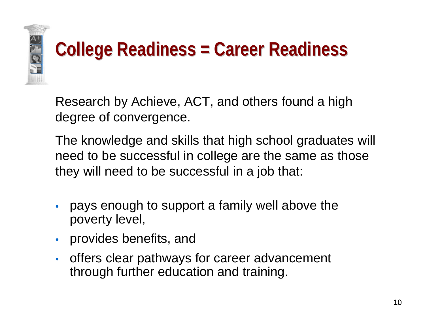

## **College Readiness = Career Readiness College Readiness = Career Readiness**

Research by Achieve, ACT, and others found a high degree of convergence.

The knowledge and skills that high school graduates will need to be successful in college are the same as those they will need to be successful in a job that:

- pays enough to support a family well above the poverty level,
- provides benefits, and
- offers clear pathways for career advancement through further education and training.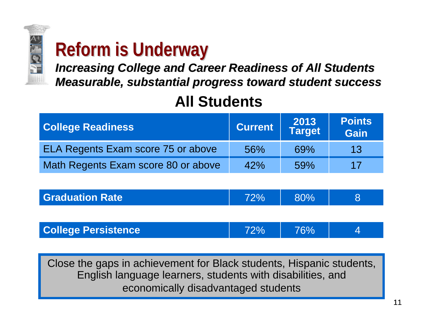

## **Reform is Underway**

*Increasing College and Career Readiness of All Students Increasing College and Career Readiness of All Students Measurable, substantial progress toward student success Measurable, substantial progress toward student success*

### **All Students**

| <b>College Readiness</b>            | <b>Current</b> | 2013<br>Target | <b>Points</b><br><b>Gain</b> |
|-------------------------------------|----------------|----------------|------------------------------|
| ELA Regents Exam score 75 or above  | 56%            | 69%            | 13                           |
| Math Regents Exam score 80 or above | 42%            | 59%            | 17                           |

| <b>Graduation Rate</b> | 72% | 80% |  |
|------------------------|-----|-----|--|
|                        |     |     |  |

| <b>College Persistence</b> | 72% | 76% |  |
|----------------------------|-----|-----|--|
|----------------------------|-----|-----|--|

Close the gaps in achievement for Black students, Hispanic students, English language learners, students with disabilities, and economically disadvantaged students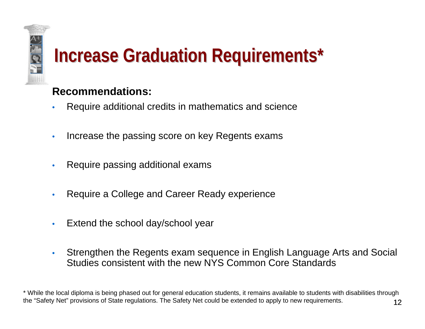# **Increase Graduation Requirements\***

#### **Recommendations:**

- Require additional credits in mathematics and science
- Increase the passing score on key Regents exams
- Require passing additional exams
- Require a College and Career Ready experience
- Extend the school day/school year
- Strengthen the Regents exam sequence in English Language Arts and Social Studies consistent with the new NYS Common Core Standards

12\* While the local diploma is being phased out for general education students, it remains available to students with disabilities through the "Safety Net" provisions of State regulations. The Safety Net could be extended to apply to new requirements.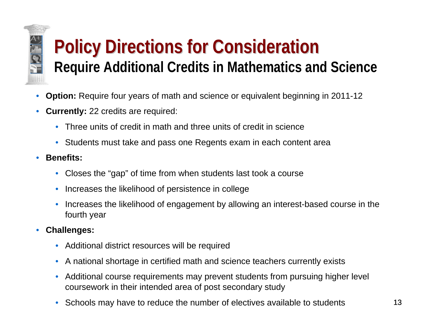# **Policy Directions for Consideration Require Additional Credits in Mathematics and Science**

- **Option:** Require four years of math and science or equivalent beginning in 2011-12
- **Currently:** 22 credits are required:
	- Three units of credit in math and three units of credit in science
	- Students must take and pass one Regents exam in each content area
- **Benefits:**

**AN** 

- Closes the "gap" of time from when students last took a course
- Increases the likelihood of persistence in college
- Increases the likelihood of engagement by allowing an interest-based course in the fourth year
- **Challenges:**
	- Additional district resources will be required
	- A national shortage in certified math and science teachers currently exists
	- Additional course requirements may prevent students from pursuing higher level coursework in their intended area of post secondary study
	- Schools may have to reduce the number of electives available to students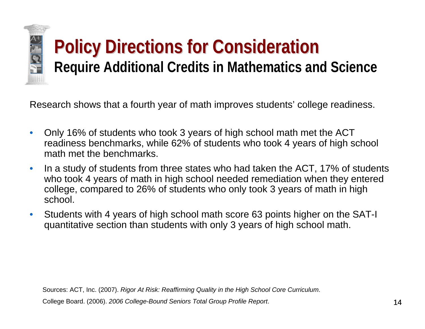Research shows that a fourth year of math improves students' college readiness.

- Only 16% of students who took 3 years of high school math met the ACT readiness benchmarks, while 62% of students who took 4 years of high school math met the benchmarks.
- In a study of students from three states who had taken the ACT, 17% of students who took 4 years of math in high school needed remediation when they entered college, compared to 26% of students who only took 3 years of math in high school.
- Students with 4 years of high school math score 63 points higher on the SAT-I quantitative section than students with only 3 years of high school math.

Sources: ACT, Inc. (2007). *Rigor At Risk: Reaffirming Quality in the High School Core Curriculum*. College Board. (2006). *2006 College-Bound Seniors Total Group Profile Report*.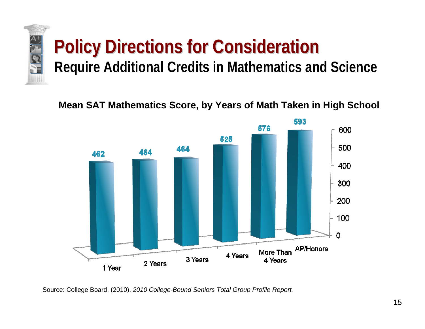

**Mean SAT Mathematics Score, by Years of Math Taken in High School**



Source: College Board. (2010). *2010 College-Bound Seniors Total Group Profile Report.*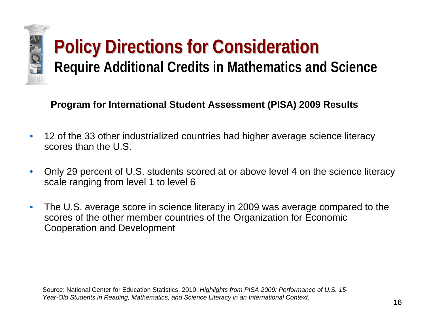

#### **Program for International Student Assessment (PISA) 2009 Results**

- 12 of the 33 other industrialized countries had higher average science literacy scores than the U.S.
- Only 29 percent of U.S. students scored at or above level 4 on the science literacy scale ranging from level 1 to level 6
- The U.S. average score in science literacy in 2009 was average compared to the scores of the other member countries of the Organization for Economic Cooperation and Development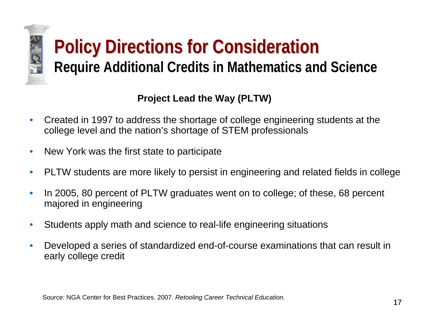#### **Project Lead the Way (PLTW)**

- Created in 1997 to address the shortage of college engineering students at the college level and the nation's shortage of STEM professionals
- New York was the first state to participate

E

- PLTW students are more likely to persist in engineering and related fields in college
- In 2005, 80 percent of PLTW graduates went on to college; of these, 68 percent majored in engineering
- Students apply math and science to real-life engineering situations
- Developed a series of standardized end-of-course examinations that can result in early college credit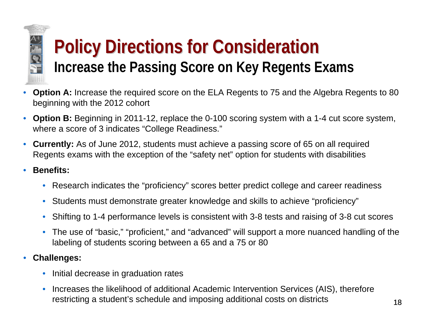

## **Policy Directions for Consideration Policy Directions for Consideration Increase the Passing Score on Key Regents Exams**

- **Option A:** Increase the required score on the ELA Regents to 75 and the Algebra Regents to 80 beginning with the 2012 cohort
- **Option B:** Beginning in 2011-12, replace the 0-100 scoring system with a 1-4 cut score system, where a score of 3 indicates "College Readiness."
- **Currently:** As of June 2012, students must achieve a passing score of 65 on all required Regents exams with the exception of the "safety net" option for students with disabilities
- **Benefits:**
	- Research indicates the "proficiency" scores better predict college and career readiness
	- Students must demonstrate greater knowledge and skills to achieve "proficiency"
	- Shifting to 1-4 performance levels is consistent with 3-8 tests and raising of 3-8 cut scores
	- The use of "basic," "proficient," and "advanced" will support a more nuanced handling of the labeling of students scoring between a 65 and a 75 or 80
- **Challenges:**
	- Initial decrease in graduation rates
	- Increases the likelihood of additional Academic Intervention Services (AIS), therefore restricting a student's schedule and imposing additional costs on districts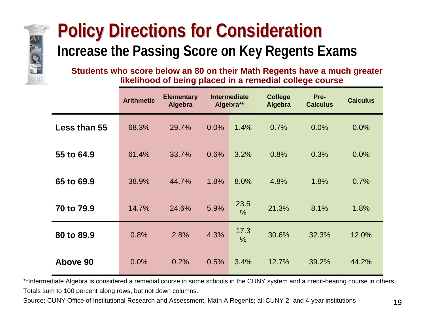

## **Policy Directions for Consideration Increase the Passing Score on Key Regents Exams**

**Students who score below an 80 on their Math Regents have a much greater likelihood of being placed in a remedial college course**

|                     | <b>Arithmetic</b> | <b>Elementary</b><br><b>Algebra</b> |      | <b>Intermediate</b><br>Algebra** | <b>College</b><br><b>Algebra</b> | Pre-<br><b>Calculus</b> | <b>Calculus</b> |
|---------------------|-------------------|-------------------------------------|------|----------------------------------|----------------------------------|-------------------------|-----------------|
| <b>Less than 55</b> | 68.3%             | 29.7%                               | 0.0% | 1.4%                             | 0.7%                             | 0.0%                    | 0.0%            |
| 55 to 64.9          | 61.4%             | 33.7%                               | 0.6% | 3.2%                             | 0.8%                             | 0.3%                    | 0.0%            |
| 65 to 69.9          | 38.9%             | 44.7%                               | 1.8% | 8.0%                             | 4.8%                             | 1.8%                    | 0.7%            |
| 70 to 79.9          | 14.7%             | 24.6%                               | 5.9% | 23.5<br>$\frac{0}{0}$            | 21.3%                            | 8.1%                    | 1.8%            |
| 80 to 89.9          | 0.8%              | 2.8%                                | 4.3% | 17.3<br>$\frac{0}{0}$            | 30.6%                            | 32.3%                   | 12.0%           |
| Above 90            | 0.0%              | 0.2%                                | 0.5% | 3.4%                             | 12.7%                            | 39.2%                   | 44.2%           |

\*\*Intermediate Algebra is considered a remedial course in some schools in the CUNY system and a credit-bearing course in others. Totals sum to 100 percent along rows, but not down columns.

Source: CUNY Office of Institutional Research and Assessment, Math A Regents; all CUNY 2- and 4-year institutions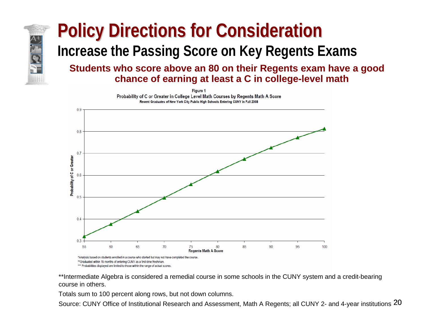#### **Policy Directions for Consideration Increase the Passing Score on Key Regents Exams Students who score above an 80 on their Regents exam have a good chance of earning at least a C in college-level math**

**Figure 1** Probability of C or Greater in College Level Math Courses by Regents Math A Score Recent Graduates of New York City Public High Schools Entering CUNY in Fall 2008



\*\*Intermediate Algebra is considered a remedial course in some schools in the CUNY system and a credit-bearing course in others.

Totals sum to 100 percent along rows, but not down columns.

Source: CUNY Office of Institutional Research and Assessment, Math A Regents; all CUNY 2- and 4-year institutions  $20$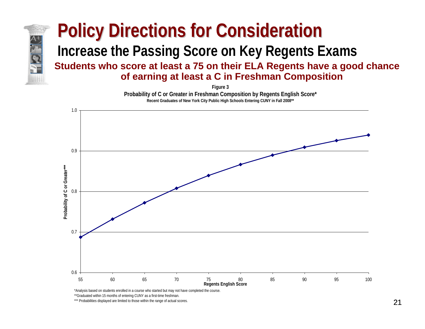#### **Students who score at least a 75 on their ELA Regents have a good chance of earning at least a C in Freshman Composition Policy Directions for Consideration Increase the Passing Score on Key Regents Exams**

**Figure 3 Probability of C or Greater in Freshman Composition by Regents English Score\* Recent Graduates of New York City Public High Schools Entering CUNY in Fall 2008\*\***



\*\*Graduated within 15 months of entering CUNY as a first-time freshman.

\*\*\* Probabilities displayed are limited to those within the range of actual scores.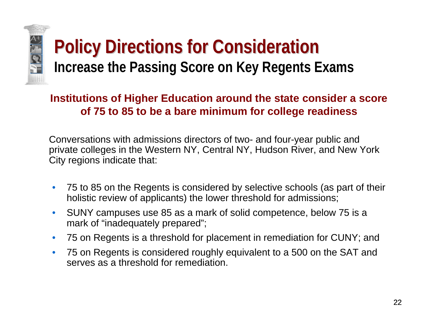

## **Policy Directions for Consideration Increase the Passing Score on Key Regents Exams**

#### **Institutions of Higher Education around the state consider a score of 75 to 85 to be a bare minimum for college readiness**

Conversations with admissions directors of two- and four-year public and private colleges in the Western NY, Central NY, Hudson River, and New York City regions indicate that:

- 75 to 85 on the Regents is considered by selective schools (as part of their holistic review of applicants) the lower threshold for admissions;
- SUNY campuses use 85 as a mark of solid competence, below 75 is a mark of "inadequately prepared";
- 75 on Regents is a threshold for placement in remediation for CUNY; and
- 75 on Regents is considered roughly equivalent to a 500 on the SAT and serves as a threshold for remediation.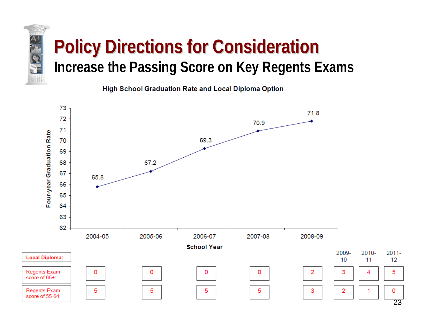## **Policy Directions for Consideration Policy Directions for Consideration Increase the Passing Score on Key Regents Exams**

**High School Graduation Rate and Local Diploma Option** 

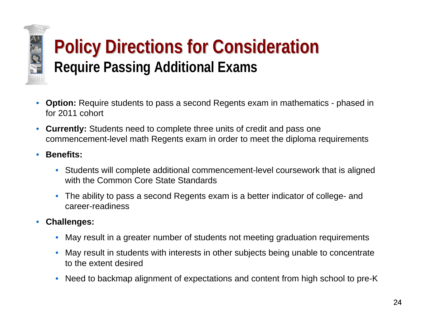

## **Policy Directions for Consideration Policy Directions for Consideration Require Passing Additional Exams**

- **Option:** Require students to pass a second Regents exam in mathematics phased in for 2011 cohort
- **Currently:** Students need to complete three units of credit and pass one commencement-level math Regents exam in order to meet the diploma requirements
- **Benefits:**
	- Students will complete additional commencement-level coursework that is aligned with the Common Core State Standards
	- The ability to pass a second Regents exam is a better indicator of college- and career-readiness
- **Challenges:**
	- May result in a greater number of students not meeting graduation requirements
	- May result in students with interests in other subjects being unable to concentrate to the extent desired
	- Need to backmap alignment of expectations and content from high school to pre-K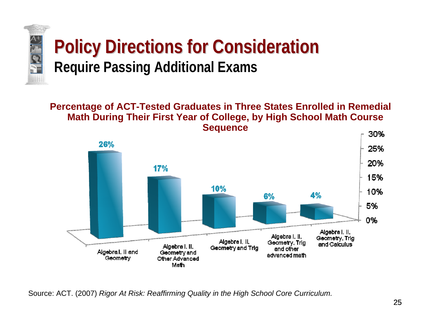

## **Policy Directions for Consideration Policy Directions for Consideration Require Passing Additional Exams**

**Percentage of ACT-Tested Graduates in Three States Enrolled in Remedial Math During Their First Year of College, by High School Math Course Sequence**



Source: ACT. (2007) *Rigor At Risk: Reaffirming Quality in the High School Core Curriculum.*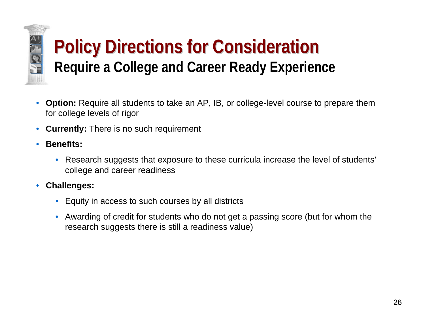

## **Policy Directions for Consideration Policy Directions for Consideration Require a College and Career Ready Experience**

- **Option:** Require all students to take an AP, IB, or college-level course to prepare them for college levels of rigor
- **Currently:** There is no such requirement
- **Benefits:**
	- Research suggests that exposure to these curricula increase the level of students' college and career readiness
- **Challenges:**
	- Equity in access to such courses by all districts
	- Awarding of credit for students who do not get a passing score (but for whom the research suggests there is still a readiness value)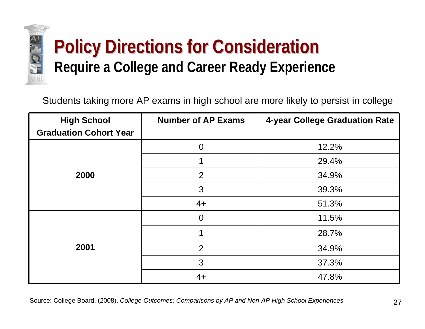

## **Policy Directions for Consideration Policy Directions for Consideration Require a College and Career Ready Experience**

Students taking more AP exams in high school are more likely to persist in college

| <b>High School</b><br><b>Graduation Cohort Year</b> | <b>Number of AP Exams</b> | 4-year College Graduation Rate |
|-----------------------------------------------------|---------------------------|--------------------------------|
|                                                     |                           |                                |
|                                                     | $\overline{0}$            | 12.2%                          |
|                                                     | ◢                         | 29.4%                          |
| 2000                                                | 2                         | 34.9%                          |
|                                                     | 3                         | 39.3%                          |
|                                                     | $4+$                      | 51.3%                          |
|                                                     | $\overline{0}$            | 11.5%                          |
|                                                     | 1                         | 28.7%                          |
| 2001                                                | $\overline{2}$            | 34.9%                          |
|                                                     | 3                         | 37.3%                          |
|                                                     | $4+$                      | 47.8%                          |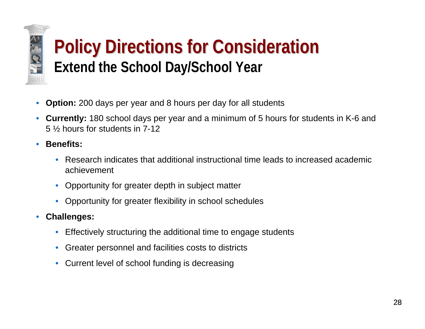## **Policy Directions for Consideration Policy Directions for Consideration Extend the School Day/School Year**

- **Option:** 200 days per year and 8 hours per day for all students
- **Currently:** 180 school days per year and a minimum of 5 hours for students in K-6 and 5 ½ hours for students in 7-12
- **Benefits:**

- Research indicates that additional instructional time leads to increased academic achievement
- Opportunity for greater depth in subject matter
- Opportunity for greater flexibility in school schedules
- **Challenges:**
	- Effectively structuring the additional time to engage students
	- Greater personnel and facilities costs to districts
	- Current level of school funding is decreasing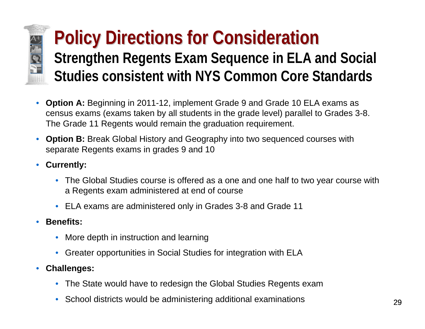## **Policy Directions for Consideration Strengthen Regents Exam Sequence in ELA and Social Studies consistent with NYS Common Core Standards**

- **Option A:** Beginning in 2011-12, implement Grade 9 and Grade 10 ELA exams as census exams (exams taken by all students in the grade level) parallel to Grades 3-8. The Grade 11 Regents would remain the graduation requirement.
- **Option B:** Break Global History and Geography into two sequenced courses with separate Regents exams in grades 9 and 10
- **Currently:**

**ALSE** 

- The Global Studies course is offered as a one and one half to two year course with a Regents exam administered at end of course
- ELA exams are administered only in Grades 3-8 and Grade 11
- **Benefits:**
	- More depth in instruction and learning
	- Greater opportunities in Social Studies for integration with ELA
- **Challenges:**
	- The State would have to redesign the Global Studies Regents exam
	- School districts would be administering additional examinations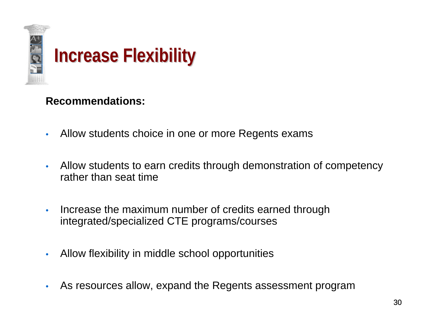

#### **Recommendations:**

- Allow students choice in one or more Regents exams
- Allow students to earn credits through demonstration of competency rather than seat time
- Increase the maximum number of credits earned through integrated/specialized CTE programs/courses
- Allow flexibility in middle school opportunities
- As resources allow, expand the Regents assessment program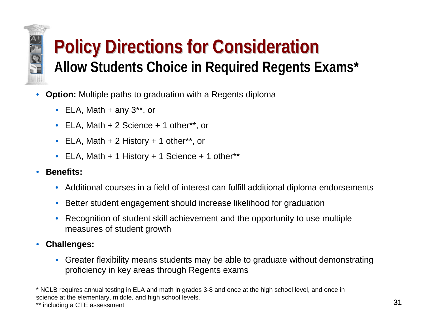# HØT.

## **Policy Directions for Consideration Policy Directions for Consideration Allow Students Choice in Required Regents Exams\***

- **Option:** Multiple paths to graduation with a Regents diploma
	- ELA, Math  $+$  any 3\*\*, or
	- ELA, Math + 2 Science + 1 other\*\*, or
	- ELA, Math + 2 History + 1 other\*\*, or
	- ELA, Math + 1 History + 1 Science + 1 other\*\*
- **Benefits:**
	- Additional courses in a field of interest can fulfill additional diploma endorsements
	- Better student engagement should increase likelihood for graduation
	- Recognition of student skill achievement and the opportunity to use multiple measures of student growth
- **Challenges:**
	- Greater flexibility means students may be able to graduate without demonstrating proficiency in key areas through Regents exams

\* NCLB requires annual testing in ELA and math in grades 3-8 and once at the high school level, and once in science at the elementary, middle, and high school levels.

\*\* including a CTE assessment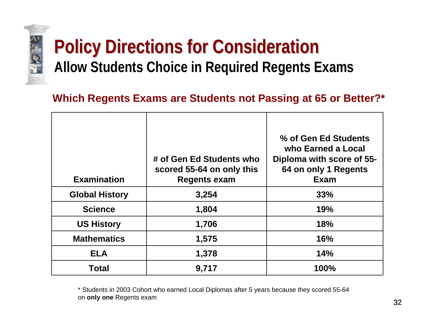

## **Policy Directions for Consideration Allow Students Choice in Required Regents Exams**

#### **Which Regents Exams are Students not Passing at 65 or Better?\***

| <b>Examination</b>    | # of Gen Ed Students who<br>scored 55-64 on only this<br><b>Regents exam</b> | % of Gen Ed Students<br>who Earned a Local<br>Diploma with score of 55-<br>64 on only 1 Regents<br><b>Exam</b> |
|-----------------------|------------------------------------------------------------------------------|----------------------------------------------------------------------------------------------------------------|
| <b>Global History</b> | 3,254                                                                        | 33%                                                                                                            |
| <b>Science</b>        | 1,804                                                                        | 19%                                                                                                            |
| <b>US History</b>     | 1,706                                                                        | <b>18%</b>                                                                                                     |
| <b>Mathematics</b>    | 1,575                                                                        | <b>16%</b>                                                                                                     |
| <b>ELA</b>            | 1,378                                                                        | 14%                                                                                                            |
| <b>Total</b>          | 9,717                                                                        | 100%                                                                                                           |

\* Students in 2003 Cohort who earned Local Diplomas after 5 years because they scored 55-64 on **only one** Regents exam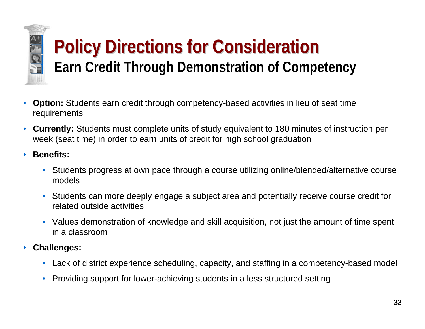

## **Policy Directions for Consideration Earn Credit Through Demonstration of Competency**

- **Option:** Students earn credit through competency-based activities in lieu of seat time requirements
- **Currently:** Students must complete units of study equivalent to 180 minutes of instruction per week (seat time) in order to earn units of credit for high school graduation
- **Benefits:**
	- Students progress at own pace through a course utilizing online/blended/alternative course models
	- Students can more deeply engage a subject area and potentially receive course credit for related outside activities
	- Values demonstration of knowledge and skill acquisition, not just the amount of time spent in a classroom
- **Challenges:**
	- Lack of district experience scheduling, capacity, and staffing in a competency-based model
	- Providing support for lower-achieving students in a less structured setting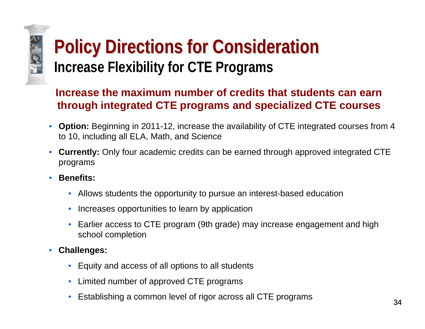## **Policy Directions for Consideration Policy Directions for Consideration Increase Flexibility for CTE Programs**

#### **Increase the maximum number of credits that students can earn through integrated CTE programs and specialized CTE courses**

- **Option:** Beginning in 2011-12, increase the availability of CTE integrated courses from 4 to 10, including all ELA, Math, and Science
- **Currently:** Only four academic credits can be earned through approved integrated CTE programs
- **Benefits:**

**AND** 

- Allows students the opportunity to pursue an interest-based education
- Increases opportunities to learn by application
- Earlier access to CTE program (9th grade) may increase engagement and high school completion
- **Challenges:**
	- Equity and access of all options to all students
	- Limited number of approved CTE programs
	- Establishing a common level of rigor across all CTE programs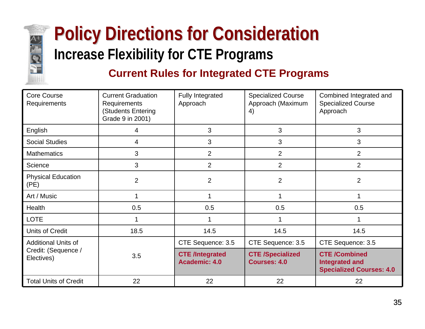

## **Policy Directions for Consideration Policy Directions for Consideration Increase Flexibility for CTE Programs**

#### **Current Rules for Integrated CTE Programs**

| <b>Core Course</b><br>Requirements | <b>Current Graduation</b><br>Requirements<br>(Students Entering<br>Grade 9 in 2001) | <b>Fully Integrated</b><br>Approach     | <b>Specialized Course</b><br>Approach (Maximum<br>4) | Combined Integrated and<br><b>Specialized Course</b><br>Approach                 |
|------------------------------------|-------------------------------------------------------------------------------------|-----------------------------------------|------------------------------------------------------|----------------------------------------------------------------------------------|
| English                            | 4                                                                                   | 3                                       | 3                                                    | 3                                                                                |
| <b>Social Studies</b>              | 4                                                                                   | 3                                       | 3                                                    | 3                                                                                |
| <b>Mathematics</b>                 | 3                                                                                   | $\overline{2}$                          | $\overline{2}$                                       | $\overline{2}$                                                                   |
| Science                            | 3                                                                                   | 2                                       | $\overline{2}$                                       | 2                                                                                |
| <b>Physical Education</b><br>(PE)  | $\overline{2}$                                                                      | $\overline{2}$                          | $\overline{2}$                                       | $\overline{2}$                                                                   |
| Art / Music                        |                                                                                     | 1                                       |                                                      | 1                                                                                |
| Health                             | 0.5                                                                                 | 0.5                                     | 0.5                                                  | 0.5                                                                              |
| <b>LOTE</b>                        |                                                                                     |                                         |                                                      |                                                                                  |
| <b>Units of Credit</b>             | 18.5                                                                                | 14.5                                    | 14.5                                                 | 14.5                                                                             |
| <b>Additional Units of</b>         |                                                                                     | CTE Sequence: 3.5                       | CTE Sequence: 3.5                                    | CTE Sequence: 3.5                                                                |
| Credit: (Sequence /<br>Electives)  | 3.5                                                                                 | <b>CTE /Integrated</b><br>Academic: 4.0 | <b>CTE /Specialized</b><br><b>Courses: 4.0</b>       | <b>CTE /Combined</b><br><b>Integrated and</b><br><b>Specialized Courses: 4.0</b> |
| <b>Total Units of Credit</b>       | 22                                                                                  | 22                                      | 22                                                   | 22                                                                               |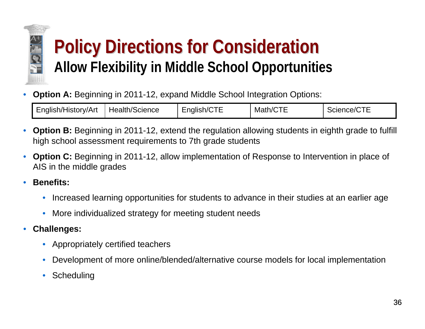

## **Policy Directions for Consideration Policy Directions for Consideration Allow Flexibility in Middle School Opportunities**

• **Option A:** Beginning in 2011-12, expand Middle School Integration Options:

| English/History/Art | $H$ Health <sup>/<math>\circ</math></sup><br>.h/Science | :nalish/C<br>-- | ---<br>Matr<br>′/∩ | $\sim - -$<br>Science/C<br>. . |
|---------------------|---------------------------------------------------------|-----------------|--------------------|--------------------------------|
|---------------------|---------------------------------------------------------|-----------------|--------------------|--------------------------------|

- **Option B:** Beginning in 2011-12, extend the regulation allowing students in eighth grade to fulfill high school assessment requirements to 7th grade students
- **Option C:** Beginning in 2011-12, allow implementation of Response to Intervention in place of AIS in the middle grades
- **Benefits:**
	- Increased learning opportunities for students to advance in their studies at an earlier age
	- More individualized strategy for meeting student needs
- **Challenges:**
	- Appropriately certified teachers
	- Development of more online/blended/alternative course models for local implementation
	- Scheduling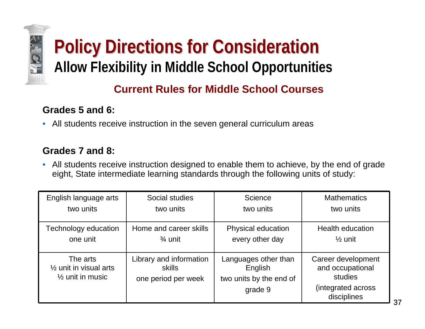# **Policy Directions for Consideration Policy Directions for Consideration Allow Flexibility in Middle School Opportunities**

#### **Current Rules for Middle School Courses**

#### **Grades 5 and 6:**

E

• All students receive instruction in the seven general curriculum areas

#### **Grades 7 and 8:**

• All students receive instruction designed to enable them to achieve, by the end of grade eight, State intermediate learning standards through the following units of study:

| English language arts                                                        | Social studies                                           | Science                                                               | <b>Mathematics</b>                                                                     |
|------------------------------------------------------------------------------|----------------------------------------------------------|-----------------------------------------------------------------------|----------------------------------------------------------------------------------------|
| two units                                                                    | two units                                                | two units                                                             | two units                                                                              |
| Technology education                                                         | Home and career skills                                   | Physical education                                                    | <b>Health education</b>                                                                |
| one unit                                                                     | $\frac{3}{4}$ unit                                       | every other day                                                       | $\frac{1}{2}$ unit                                                                     |
| The arts<br>$\frac{1}{2}$ unit in visual arts<br>$\frac{1}{2}$ unit in music | Library and information<br>skills<br>one period per week | Languages other than<br>English<br>two units by the end of<br>grade 9 | Career development<br>and occupational<br>studies<br>(integrated across<br>disciplines |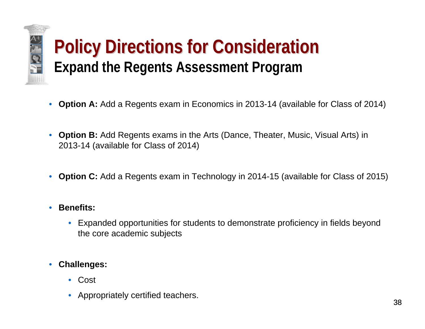

## **Policy Directions for Consideration Policy Directions for Consideration Expand the Regents Assessment Program**

- **Option A:** Add a Regents exam in Economics in 2013-14 (available for Class of 2014)
- **Option B:** Add Regents exams in the Arts (Dance, Theater, Music, Visual Arts) in 2013-14 (available for Class of 2014)
- **Option C:** Add a Regents exam in Technology in 2014-15 (available for Class of 2015)
- **Benefits:**
	- Expanded opportunities for students to demonstrate proficiency in fields beyond the core academic subjects
- **Challenges:**
	- Cost
	- Appropriately certified teachers.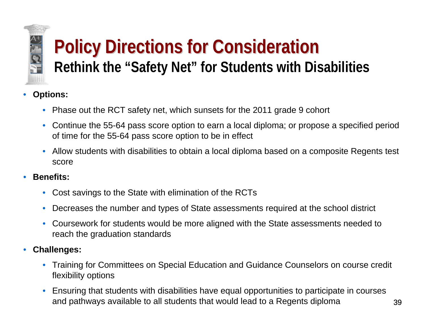

## **Policy Directions for Consideration Rethink the "Safety Net" for Students with Disabilities**

- **Options:**
	- Phase out the RCT safety net, which sunsets for the 2011 grade 9 cohort
	- Continue the 55-64 pass score option to earn a local diploma; or propose a specified period of time for the 55-64 pass score option to be in effect
	- Allow students with disabilities to obtain a local diploma based on a composite Regents test score
- **Benefits:**
	- Cost savings to the State with elimination of the RCTs
	- Decreases the number and types of State assessments required at the school district
	- Coursework for students would be more aligned with the State assessments needed to reach the graduation standards
- **Challenges:**
	- Training for Committees on Special Education and Guidance Counselors on course credit flexibility options
	- Ensuring that students with disabilities have equal opportunities to participate in courses and pathways available to all students that would lead to a Regents diploma